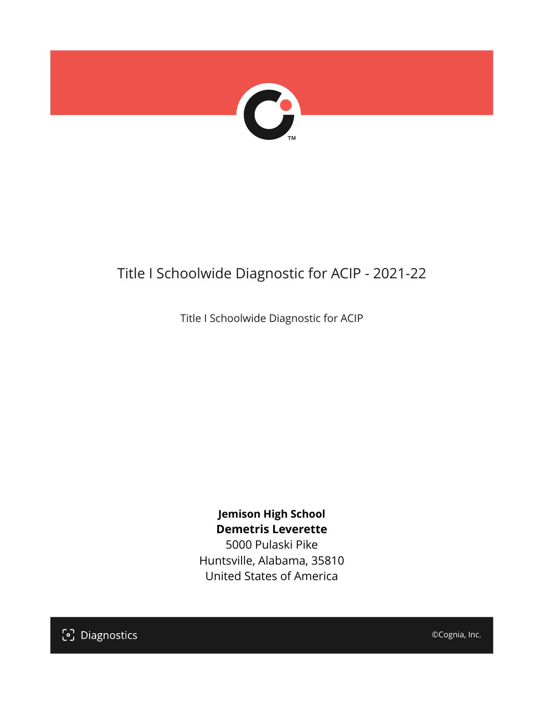

# Title I Schoolwide Diagnostic for ACIP - 2021-22

Title I Schoolwide Diagnostic for ACIP

**Jemison High School Demetris Leverette** 5000 Pulaski Pike Huntsville, Alabama, 35810 United States of America

[၁] Diagnostics

©Cognia, Inc.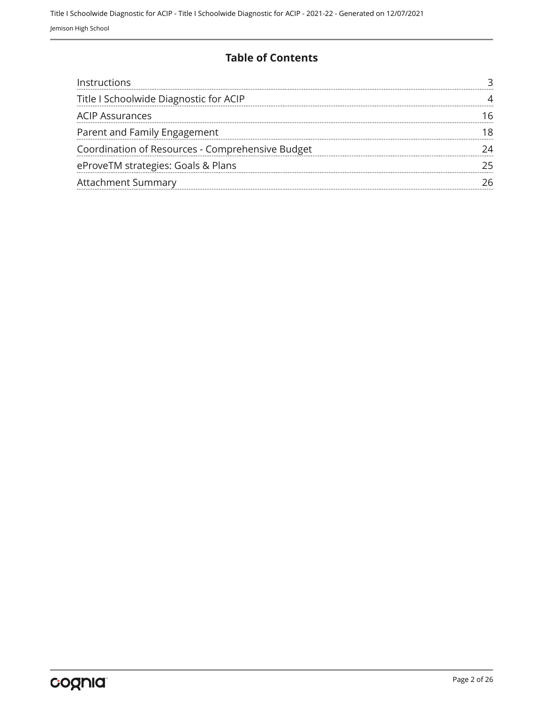#### **Table of Contents**

| Instructions                                     |  |
|--------------------------------------------------|--|
| Title I Schoolwide Diagnostic for ACIP           |  |
| <b>ACIP Assurances</b>                           |  |
| Parent and Family Engagement                     |  |
| Coordination of Resources - Comprehensive Budget |  |
| eProveTM strategies: Goals & Plans               |  |
| <b>Attachment Summary</b>                        |  |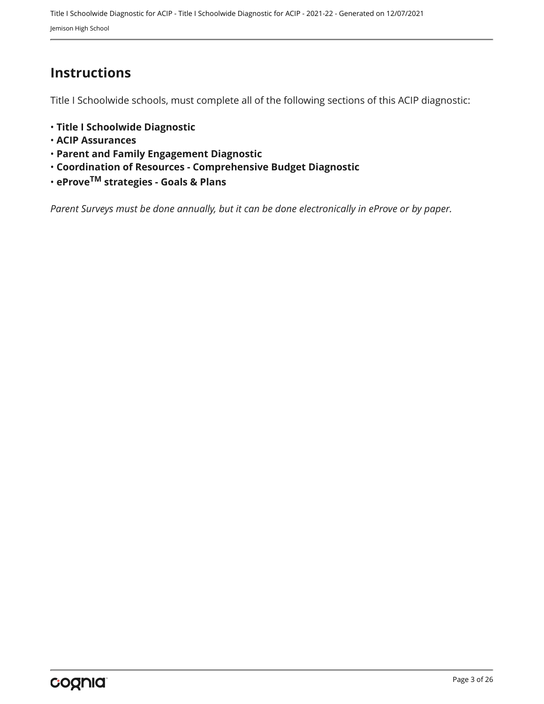### <span id="page-2-0"></span>**Instructions**

Title I Schoolwide schools, must complete all of the following sections of this ACIP diagnostic:

- **Title I Schoolwide Diagnostic**
- **ACIP Assurances**
- **Parent and Family Engagement Diagnostic**
- **Coordination of Resources Comprehensive Budget Diagnostic**
- **eProveTM strategies Goals & Plans**

*Parent Surveys must be done annually, but it can be done electronically in eProve or by paper.*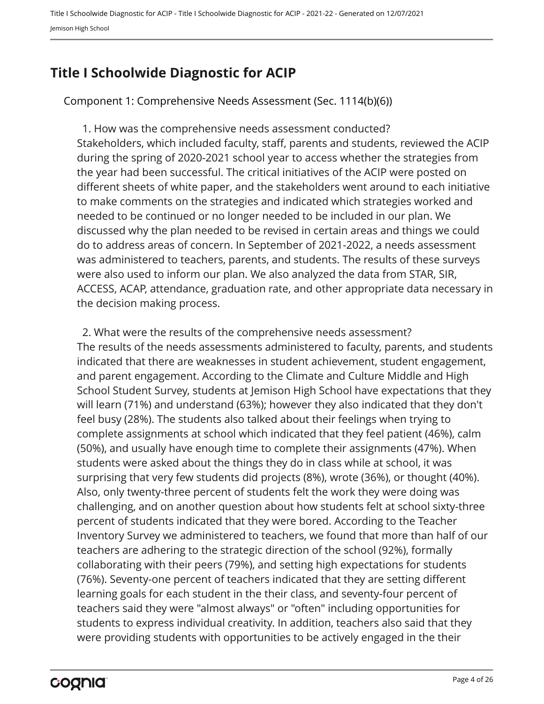## <span id="page-3-0"></span>**Title I Schoolwide Diagnostic for ACIP**

Component 1: Comprehensive Needs Assessment (Sec. 1114(b)(6))

Stakeholders, which included faculty, staff, parents and students, reviewed the ACIP during the spring of 2020-2021 school year to access whether the strategies from the year had been successful. The critical initiatives of the ACIP were posted on different sheets of white paper, and the stakeholders went around to each initiative to make comments on the strategies and indicated which strategies worked and needed to be continued or no longer needed to be included in our plan. We discussed why the plan needed to be revised in certain areas and things we could do to address areas of concern. In September of 2021-2022, a needs assessment was administered to teachers, parents, and students. The results of these surveys were also used to inform our plan. We also analyzed the data from STAR, SIR, ACCESS, ACAP, attendance, graduation rate, and other appropriate data necessary in the decision making process. 1. How was the comprehensive needs assessment conducted?

The results of the needs assessments administered to faculty, parents, and students indicated that there are weaknesses in student achievement, student engagement, and parent engagement. According to the Climate and Culture Middle and High School Student Survey, students at Jemison High School have expectations that they will learn (71%) and understand (63%); however they also indicated that they don't feel busy (28%). The students also talked about their feelings when trying to complete assignments at school which indicated that they feel patient (46%), calm (50%), and usually have enough time to complete their assignments (47%). When students were asked about the things they do in class while at school, it was surprising that very few students did projects (8%), wrote (36%), or thought (40%). Also, only twenty-three percent of students felt the work they were doing was challenging, and on another question about how students felt at school sixty-three percent of students indicated that they were bored. According to the Teacher Inventory Survey we administered to teachers, we found that more than half of our teachers are adhering to the strategic direction of the school (92%), formally collaborating with their peers (79%), and setting high expectations for students (76%). Seventy-one percent of teachers indicated that they are setting different learning goals for each student in the their class, and seventy-four percent of teachers said they were "almost always" or "often" including opportunities for students to express individual creativity. In addition, teachers also said that they were providing students with opportunities to be actively engaged in the their 2. What were the results of the comprehensive needs assessment?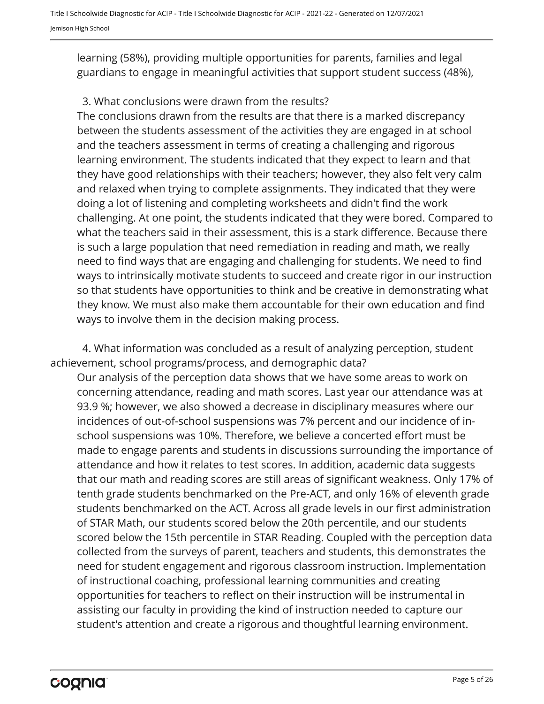learning (58%), providing multiple opportunities for parents, families and legal guardians to engage in meaningful activities that support student success (48%),

#### 3. What conclusions were drawn from the results?

The conclusions drawn from the results are that there is a marked discrepancy between the students assessment of the activities they are engaged in at school and the teachers assessment in terms of creating a challenging and rigorous learning environment. The students indicated that they expect to learn and that they have good relationships with their teachers; however, they also felt very calm and relaxed when trying to complete assignments. They indicated that they were doing a lot of listening and completing worksheets and didn't find the work challenging. At one point, the students indicated that they were bored. Compared to what the teachers said in their assessment, this is a stark difference. Because there is such a large population that need remediation in reading and math, we really need to find ways that are engaging and challenging for students. We need to find ways to intrinsically motivate students to succeed and create rigor in our instruction so that students have opportunities to think and be creative in demonstrating what they know. We must also make them accountable for their own education and find ways to involve them in the decision making process.

4. What information was concluded as a result of analyzing perception, student achievement, school programs/process, and demographic data?

Our analysis of the perception data shows that we have some areas to work on concerning attendance, reading and math scores. Last year our attendance was at 93.9 %; however, we also showed a decrease in disciplinary measures where our incidences of out-of-school suspensions was 7% percent and our incidence of inschool suspensions was 10%. Therefore, we believe a concerted effort must be made to engage parents and students in discussions surrounding the importance of attendance and how it relates to test scores. In addition, academic data suggests that our math and reading scores are still areas of significant weakness. Only 17% of tenth grade students benchmarked on the Pre-ACT, and only 16% of eleventh grade students benchmarked on the ACT. Across all grade levels in our first administration of STAR Math, our students scored below the 20th percentile, and our students scored below the 15th percentile in STAR Reading. Coupled with the perception data collected from the surveys of parent, teachers and students, this demonstrates the need for student engagement and rigorous classroom instruction. Implementation of instructional coaching, professional learning communities and creating opportunities for teachers to reflect on their instruction will be instrumental in assisting our faculty in providing the kind of instruction needed to capture our student's attention and create a rigorous and thoughtful learning environment.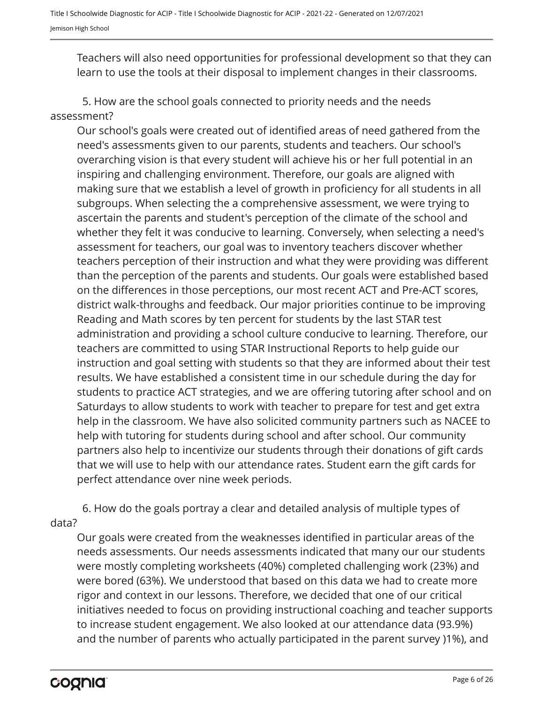Teachers will also need opportunities for professional development so that they can learn to use the tools at their disposal to implement changes in their classrooms.

5. How are the school goals connected to priority needs and the needs assessment?

Our school's goals were created out of identified areas of need gathered from the need's assessments given to our parents, students and teachers. Our school's overarching vision is that every student will achieve his or her full potential in an inspiring and challenging environment. Therefore, our goals are aligned with making sure that we establish a level of growth in proficiency for all students in all subgroups. When selecting the a comprehensive assessment, we were trying to ascertain the parents and student's perception of the climate of the school and whether they felt it was conducive to learning. Conversely, when selecting a need's assessment for teachers, our goal was to inventory teachers discover whether teachers perception of their instruction and what they were providing was different than the perception of the parents and students. Our goals were established based on the differences in those perceptions, our most recent ACT and Pre-ACT scores, district walk-throughs and feedback. Our major priorities continue to be improving Reading and Math scores by ten percent for students by the last STAR test administration and providing a school culture conducive to learning. Therefore, our teachers are committed to using STAR Instructional Reports to help guide our instruction and goal setting with students so that they are informed about their test results. We have established a consistent time in our schedule during the day for students to practice ACT strategies, and we are offering tutoring after school and on Saturdays to allow students to work with teacher to prepare for test and get extra help in the classroom. We have also solicited community partners such as NACEE to help with tutoring for students during school and after school. Our community partners also help to incentivize our students through their donations of gift cards that we will use to help with our attendance rates. Student earn the gift cards for perfect attendance over nine week periods.

6. How do the goals portray a clear and detailed analysis of multiple types of data?

Our goals were created from the weaknesses identified in particular areas of the needs assessments. Our needs assessments indicated that many our our students were mostly completing worksheets (40%) completed challenging work (23%) and were bored (63%). We understood that based on this data we had to create more rigor and context in our lessons. Therefore, we decided that one of our critical initiatives needed to focus on providing instructional coaching and teacher supports to increase student engagement. We also looked at our attendance data (93.9%) and the number of parents who actually participated in the parent survey )1%), and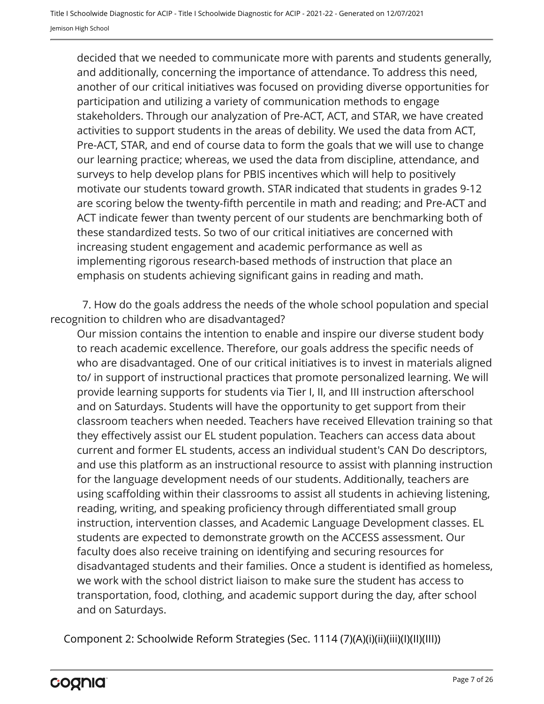decided that we needed to communicate more with parents and students generally, and additionally, concerning the importance of attendance. To address this need, another of our critical initiatives was focused on providing diverse opportunities for participation and utilizing a variety of communication methods to engage stakeholders. Through our analyzation of Pre-ACT, ACT, and STAR, we have created activities to support students in the areas of debility. We used the data from ACT, Pre-ACT, STAR, and end of course data to form the goals that we will use to change our learning practice; whereas, we used the data from discipline, attendance, and surveys to help develop plans for PBIS incentives which will help to positively motivate our students toward growth. STAR indicated that students in grades 9-12 are scoring below the twenty-fifth percentile in math and reading; and Pre-ACT and ACT indicate fewer than twenty percent of our students are benchmarking both of these standardized tests. So two of our critical initiatives are concerned with increasing student engagement and academic performance as well as implementing rigorous research-based methods of instruction that place an emphasis on students achieving significant gains in reading and math.

7. How do the goals address the needs of the whole school population and special recognition to children who are disadvantaged?

Our mission contains the intention to enable and inspire our diverse student body to reach academic excellence. Therefore, our goals address the specific needs of who are disadvantaged. One of our critical initiatives is to invest in materials aligned to/ in support of instructional practices that promote personalized learning. We will provide learning supports for students via Tier I, II, and III instruction afterschool and on Saturdays. Students will have the opportunity to get support from their classroom teachers when needed. Teachers have received Ellevation training so that they effectively assist our EL student population. Teachers can access data about current and former EL students, access an individual student's CAN Do descriptors, and use this platform as an instructional resource to assist with planning instruction for the language development needs of our students. Additionally, teachers are using scaffolding within their classrooms to assist all students in achieving listening, reading, writing, and speaking proficiency through differentiated small group instruction, intervention classes, and Academic Language Development classes. EL students are expected to demonstrate growth on the ACCESS assessment. Our faculty does also receive training on identifying and securing resources for disadvantaged students and their families. Once a student is identified as homeless, we work with the school district liaison to make sure the student has access to transportation, food, clothing, and academic support during the day, after school and on Saturdays.

Component 2: Schoolwide Reform Strategies (Sec. 1114 (7)(A)(i)(ii)(iii)(I)(II)(III))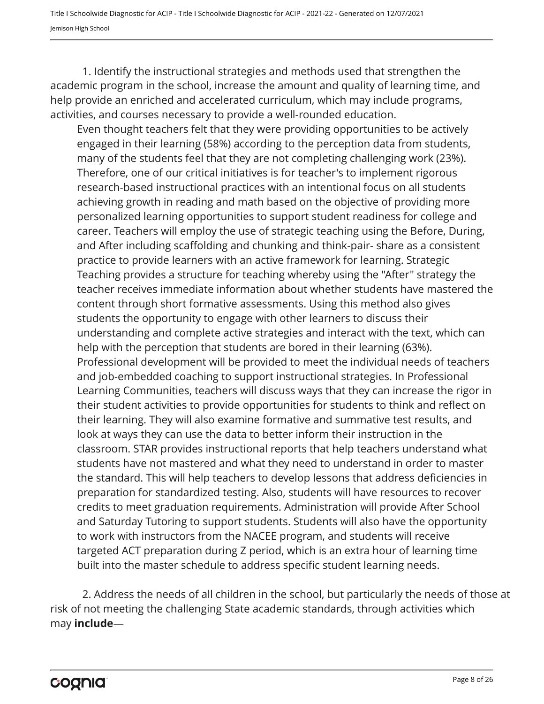Title I Schoolwide Diagnostic for ACIP - Title I Schoolwide Diagnostic for ACIP - 2021-22 - Generated on 12/07/2021 Jemison High School

1. Identify the instructional strategies and methods used that strengthen the academic program in the school, increase the amount and quality of learning time, and help provide an enriched and accelerated curriculum, which may include programs, activities, and courses necessary to provide a well-rounded education.

Even thought teachers felt that they were providing opportunities to be actively engaged in their learning (58%) according to the perception data from students, many of the students feel that they are not completing challenging work (23%). Therefore, one of our critical initiatives is for teacher's to implement rigorous research-based instructional practices with an intentional focus on all students achieving growth in reading and math based on the objective of providing more personalized learning opportunities to support student readiness for college and career. Teachers will employ the use of strategic teaching using the Before, During, and After including scaffolding and chunking and think-pair- share as a consistent practice to provide learners with an active framework for learning. Strategic Teaching provides a structure for teaching whereby using the "After" strategy the teacher receives immediate information about whether students have mastered the content through short formative assessments. Using this method also gives students the opportunity to engage with other learners to discuss their understanding and complete active strategies and interact with the text, which can help with the perception that students are bored in their learning (63%). Professional development will be provided to meet the individual needs of teachers and job-embedded coaching to support instructional strategies. In Professional Learning Communities, teachers will discuss ways that they can increase the rigor in their student activities to provide opportunities for students to think and reflect on their learning. They will also examine formative and summative test results, and look at ways they can use the data to better inform their instruction in the classroom. STAR provides instructional reports that help teachers understand what students have not mastered and what they need to understand in order to master the standard. This will help teachers to develop lessons that address deficiencies in preparation for standardized testing. Also, students will have resources to recover credits to meet graduation requirements. Administration will provide After School and Saturday Tutoring to support students. Students will also have the opportunity to work with instructors from the NACEE program, and students will receive targeted ACT preparation during Z period, which is an extra hour of learning time built into the master schedule to address specific student learning needs.

2. Address the needs of all children in the school, but particularly the needs of those at risk of not meeting the challenging State academic standards, through activities which may **include**—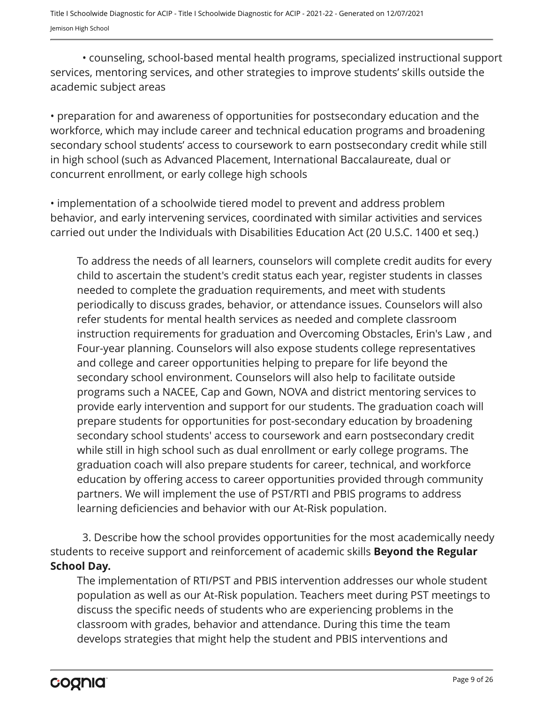• counseling, school-based mental health programs, specialized instructional support services, mentoring services, and other strategies to improve students' skills outside the academic subject areas

• preparation for and awareness of opportunities for postsecondary education and the workforce, which may include career and technical education programs and broadening secondary school students' access to coursework to earn postsecondary credit while still in high school (such as Advanced Placement, International Baccalaureate, dual or concurrent enrollment, or early college high schools

• implementation of a schoolwide tiered model to prevent and address problem behavior, and early intervening services, coordinated with similar activities and services carried out under the Individuals with Disabilities Education Act (20 U.S.C. 1400 et seq.)

To address the needs of all learners, counselors will complete credit audits for every child to ascertain the student's credit status each year, register students in classes needed to complete the graduation requirements, and meet with students periodically to discuss grades, behavior, or attendance issues. Counselors will also refer students for mental health services as needed and complete classroom instruction requirements for graduation and Overcoming Obstacles, Erin's Law , and Four-year planning. Counselors will also expose students college representatives and college and career opportunities helping to prepare for life beyond the secondary school environment. Counselors will also help to facilitate outside programs such a NACEE, Cap and Gown, NOVA and district mentoring services to provide early intervention and support for our students. The graduation coach will prepare students for opportunities for post-secondary education by broadening secondary school students' access to coursework and earn postsecondary credit while still in high school such as dual enrollment or early college programs. The graduation coach will also prepare students for career, technical, and workforce education by offering access to career opportunities provided through community partners. We will implement the use of PST/RTI and PBIS programs to address learning deficiencies and behavior with our At-Risk population.

3. Describe how the school provides opportunities for the most academically needy students to receive support and reinforcement of academic skills **Beyond the Regular School Day.**

The implementation of RTI/PST and PBIS intervention addresses our whole student population as well as our At-Risk population. Teachers meet during PST meetings to discuss the specific needs of students who are experiencing problems in the classroom with grades, behavior and attendance. During this time the team develops strategies that might help the student and PBIS interventions and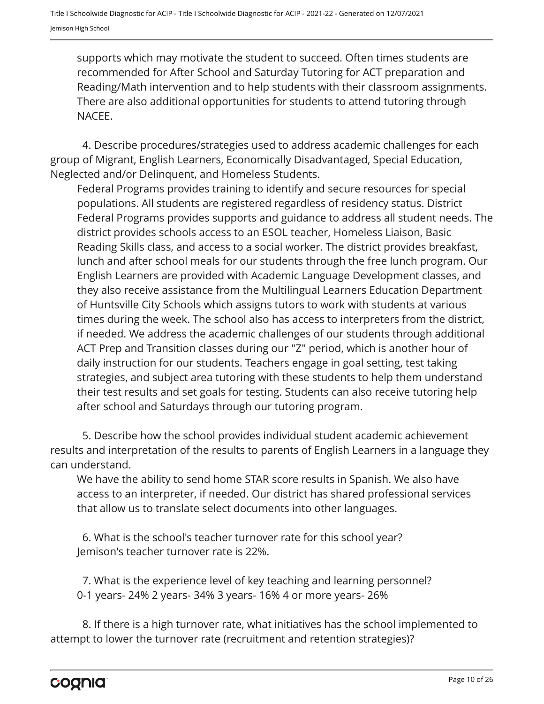supports which may motivate the student to succeed. Often times students are recommended for After School and Saturday Tutoring for ACT preparation and Reading/Math intervention and to help students with their classroom assignments. There are also additional opportunities for students to attend tutoring through NACEE.

4. Describe procedures/strategies used to address academic challenges for each group of Migrant, English Learners, Economically Disadvantaged, Special Education, Neglected and/or Delinquent, and Homeless Students.

Federal Programs provides training to identify and secure resources for special populations. All students are registered regardless of residency status. District Federal Programs provides supports and guidance to address all student needs. The district provides schools access to an ESOL teacher, Homeless Liaison, Basic Reading Skills class, and access to a social worker. The district provides breakfast, lunch and after school meals for our students through the free lunch program. Our English Learners are provided with Academic Language Development classes, and they also receive assistance from the Multilingual Learners Education Department of Huntsville City Schools which assigns tutors to work with students at various times during the week. The school also has access to interpreters from the district, if needed. We address the academic challenges of our students through additional ACT Prep and Transition classes during our "Z" period, which is another hour of daily instruction for our students. Teachers engage in goal setting, test taking strategies, and subject area tutoring with these students to help them understand their test results and set goals for testing. Students can also receive tutoring help after school and Saturdays through our tutoring program.

5. Describe how the school provides individual student academic achievement results and interpretation of the results to parents of English Learners in a language they can understand.

We have the ability to send home STAR score results in Spanish. We also have access to an interpreter, if needed. Our district has shared professional services that allow us to translate select documents into other languages.

Jemison's teacher turnover rate is 22%. 6. What is the school's teacher turnover rate for this school year?

0-1 years- 24% 2 years- 34% 3 years- 16% 4 or more years- 26% 7. What is the experience level of key teaching and learning personnel?

8. If there is a high turnover rate, what initiatives has the school implemented to attempt to lower the turnover rate (recruitment and retention strategies)?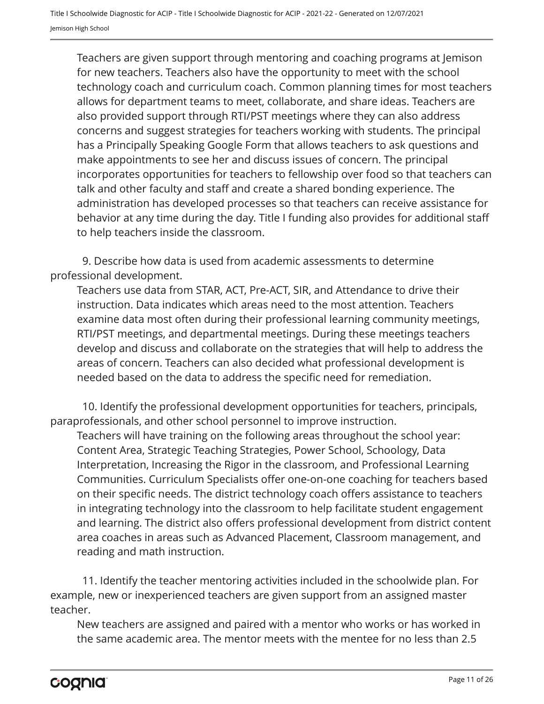Teachers are given support through mentoring and coaching programs at Jemison for new teachers. Teachers also have the opportunity to meet with the school technology coach and curriculum coach. Common planning times for most teachers allows for department teams to meet, collaborate, and share ideas. Teachers are also provided support through RTI/PST meetings where they can also address concerns and suggest strategies for teachers working with students. The principal has a Principally Speaking Google Form that allows teachers to ask questions and make appointments to see her and discuss issues of concern. The principal incorporates opportunities for teachers to fellowship over food so that teachers can talk and other faculty and staff and create a shared bonding experience. The administration has developed processes so that teachers can receive assistance for behavior at any time during the day. Title I funding also provides for additional staff to help teachers inside the classroom.

9. Describe how data is used from academic assessments to determine professional development.

Teachers use data from STAR, ACT, Pre-ACT, SIR, and Attendance to drive their instruction. Data indicates which areas need to the most attention. Teachers examine data most often during their professional learning community meetings, RTI/PST meetings, and departmental meetings. During these meetings teachers develop and discuss and collaborate on the strategies that will help to address the areas of concern. Teachers can also decided what professional development is needed based on the data to address the specific need for remediation.

10. Identify the professional development opportunities for teachers, principals, paraprofessionals, and other school personnel to improve instruction.

Teachers will have training on the following areas throughout the school year: Content Area, Strategic Teaching Strategies, Power School, Schoology, Data Interpretation, Increasing the Rigor in the classroom, and Professional Learning Communities. Curriculum Specialists offer one-on-one coaching for teachers based on their specific needs. The district technology coach offers assistance to teachers in integrating technology into the classroom to help facilitate student engagement and learning. The district also offers professional development from district content area coaches in areas such as Advanced Placement, Classroom management, and reading and math instruction.

11. Identify the teacher mentoring activities included in the schoolwide plan. For example, new or inexperienced teachers are given support from an assigned master teacher.

New teachers are assigned and paired with a mentor who works or has worked in the same academic area. The mentor meets with the mentee for no less than 2.5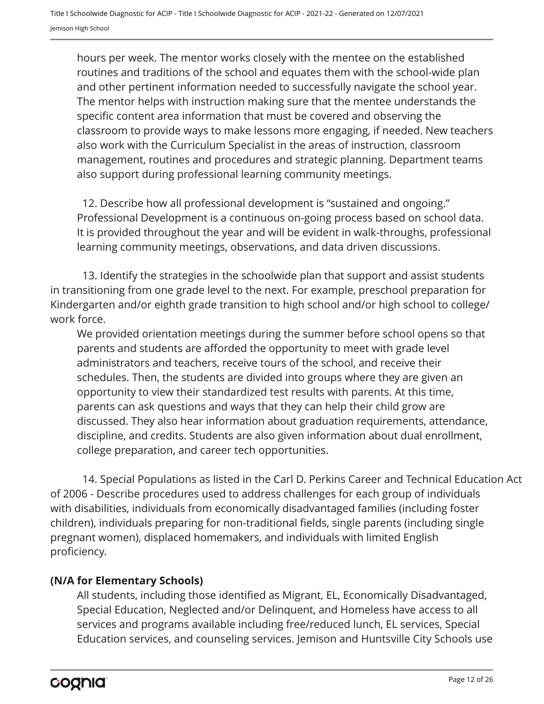hours per week. The mentor works closely with the mentee on the established routines and traditions of the school and equates them with the school-wide plan and other pertinent information needed to successfully navigate the school year. The mentor helps with instruction making sure that the mentee understands the specific content area information that must be covered and observing the classroom to provide ways to make lessons more engaging, if needed. New teachers also work with the Curriculum Specialist in the areas of instruction, classroom management, routines and procedures and strategic planning. Department teams also support during professional learning community meetings.

Professional Development is a continuous on-going process based on school data. It is provided throughout the year and will be evident in walk-throughs, professional learning community meetings, observations, and data driven discussions. 12. Describe how all professional development is "sustained and ongoing."

13. Identify the strategies in the schoolwide plan that support and assist students in transitioning from one grade level to the next. For example, preschool preparation for Kindergarten and/or eighth grade transition to high school and/or high school to college/ work force.

We provided orientation meetings during the summer before school opens so that parents and students are afforded the opportunity to meet with grade level administrators and teachers, receive tours of the school, and receive their schedules. Then, the students are divided into groups where they are given an opportunity to view their standardized test results with parents. At this time, parents can ask questions and ways that they can help their child grow are discussed. They also hear information about graduation requirements, attendance, discipline, and credits. Students are also given information about dual enrollment, college preparation, and career tech opportunities.

14. Special Populations as listed in the Carl D. Perkins Career and Technical Education Act of 2006 - Describe procedures used to address challenges for each group of individuals with disabilities, individuals from economically disadvantaged families (including foster children), individuals preparing for non-traditional fields, single parents (including single pregnant women), displaced homemakers, and individuals with limited English proficiency.

#### **(N/A for Elementary Schools)**

All students, including those identified as Migrant, EL, Economically Disadvantaged, Special Education, Neglected and/or Delinquent, and Homeless have access to all services and programs available including free/reduced lunch, EL services, Special Education services, and counseling services. Jemison and Huntsville City Schools use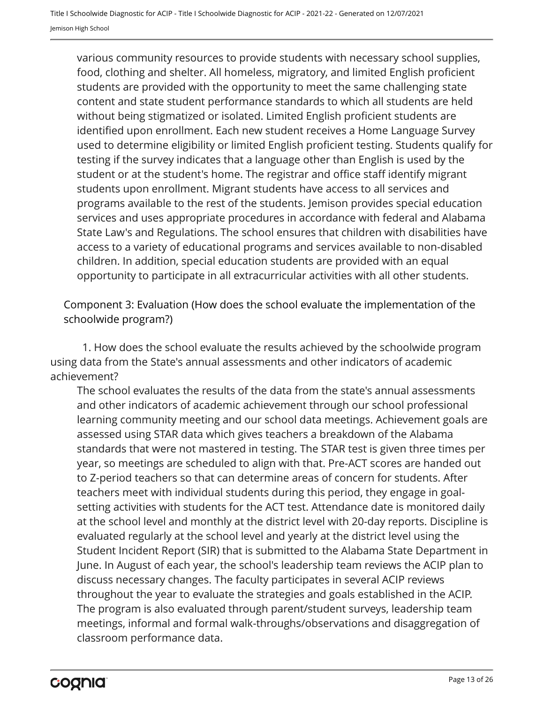various community resources to provide students with necessary school supplies, food, clothing and shelter. All homeless, migratory, and limited English proficient students are provided with the opportunity to meet the same challenging state content and state student performance standards to which all students are held without being stigmatized or isolated. Limited English proficient students are identified upon enrollment. Each new student receives a Home Language Survey used to determine eligibility or limited English proficient testing. Students qualify for testing if the survey indicates that a language other than English is used by the student or at the student's home. The registrar and office staff identify migrant students upon enrollment. Migrant students have access to all services and programs available to the rest of the students. Jemison provides special education services and uses appropriate procedures in accordance with federal and Alabama State Law's and Regulations. The school ensures that children with disabilities have access to a variety of educational programs and services available to non-disabled children. In addition, special education students are provided with an equal opportunity to participate in all extracurricular activities with all other students.

Component 3: Evaluation (How does the school evaluate the implementation of the schoolwide program?)

1. How does the school evaluate the results achieved by the schoolwide program using data from the State's annual assessments and other indicators of academic achievement?

The school evaluates the results of the data from the state's annual assessments and other indicators of academic achievement through our school professional learning community meeting and our school data meetings. Achievement goals are assessed using STAR data which gives teachers a breakdown of the Alabama standards that were not mastered in testing. The STAR test is given three times per year, so meetings are scheduled to align with that. Pre-ACT scores are handed out to Z-period teachers so that can determine areas of concern for students. After teachers meet with individual students during this period, they engage in goalsetting activities with students for the ACT test. Attendance date is monitored daily at the school level and monthly at the district level with 20-day reports. Discipline is evaluated regularly at the school level and yearly at the district level using the Student Incident Report (SIR) that is submitted to the Alabama State Department in June. In August of each year, the school's leadership team reviews the ACIP plan to discuss necessary changes. The faculty participates in several ACIP reviews throughout the year to evaluate the strategies and goals established in the ACIP. The program is also evaluated through parent/student surveys, leadership team meetings, informal and formal walk-throughs/observations and disaggregation of classroom performance data.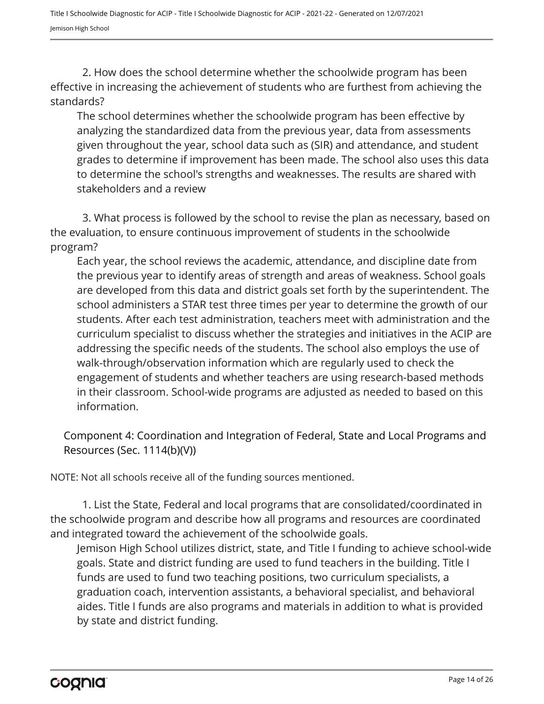2. How does the school determine whether the schoolwide program has been effective in increasing the achievement of students who are furthest from achieving the standards?

The school determines whether the schoolwide program has been effective by analyzing the standardized data from the previous year, data from assessments given throughout the year, school data such as (SIR) and attendance, and student grades to determine if improvement has been made. The school also uses this data to determine the school's strengths and weaknesses. The results are shared with stakeholders and a review

3. What process is followed by the school to revise the plan as necessary, based on the evaluation, to ensure continuous improvement of students in the schoolwide program?

Each year, the school reviews the academic, attendance, and discipline date from the previous year to identify areas of strength and areas of weakness. School goals are developed from this data and district goals set forth by the superintendent. The school administers a STAR test three times per year to determine the growth of our students. After each test administration, teachers meet with administration and the curriculum specialist to discuss whether the strategies and initiatives in the ACIP are addressing the specific needs of the students. The school also employs the use of walk-through/observation information which are regularly used to check the engagement of students and whether teachers are using research-based methods in their classroom. School-wide programs are adjusted as needed to based on this information.

Component 4: Coordination and Integration of Federal, State and Local Programs and Resources (Sec. 1114(b)(V))

NOTE: Not all schools receive all of the funding sources mentioned.

1. List the State, Federal and local programs that are consolidated/coordinated in the schoolwide program and describe how all programs and resources are coordinated and integrated toward the achievement of the schoolwide goals.

Jemison High School utilizes district, state, and Title I funding to achieve school-wide goals. State and district funding are used to fund teachers in the building. Title I funds are used to fund two teaching positions, two curriculum specialists, a graduation coach, intervention assistants, a behavioral specialist, and behavioral aides. Title I funds are also programs and materials in addition to what is provided by state and district funding.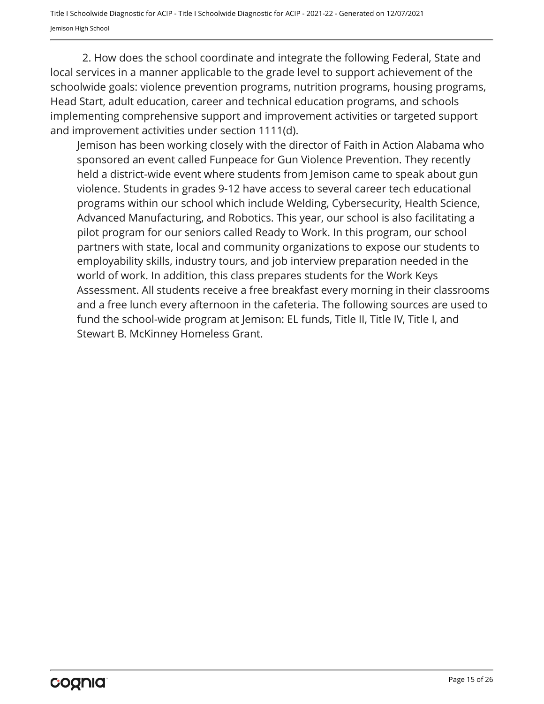2. How does the school coordinate and integrate the following Federal, State and local services in a manner applicable to the grade level to support achievement of the schoolwide goals: violence prevention programs, nutrition programs, housing programs, Head Start, adult education, career and technical education programs, and schools implementing comprehensive support and improvement activities or targeted support and improvement activities under section 1111(d).

Jemison has been working closely with the director of Faith in Action Alabama who sponsored an event called Funpeace for Gun Violence Prevention. They recently held a district-wide event where students from Jemison came to speak about gun violence. Students in grades 9-12 have access to several career tech educational programs within our school which include Welding, Cybersecurity, Health Science, Advanced Manufacturing, and Robotics. This year, our school is also facilitating a pilot program for our seniors called Ready to Work. In this program, our school partners with state, local and community organizations to expose our students to employability skills, industry tours, and job interview preparation needed in the world of work. In addition, this class prepares students for the Work Keys Assessment. All students receive a free breakfast every morning in their classrooms and a free lunch every afternoon in the cafeteria. The following sources are used to fund the school-wide program at Jemison: EL funds, Title II, Title IV, Title I, and Stewart B. McKinney Homeless Grant.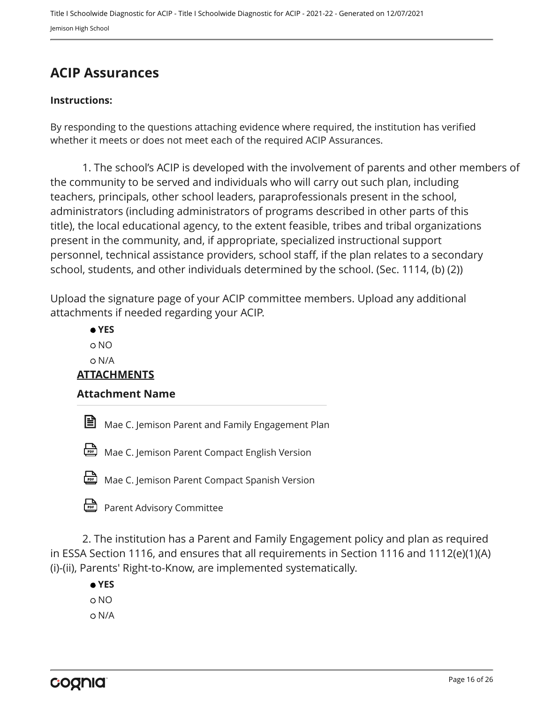### <span id="page-15-0"></span>**ACIP Assurances**

#### **Instructions:**

By responding to the questions attaching evidence where required, the institution has verified whether it meets or does not meet each of the required ACIP Assurances.

1. The school's ACIP is developed with the involvement of parents and other members of the community to be served and individuals who will carry out such plan, including teachers, principals, other school leaders, paraprofessionals present in the school, administrators (including administrators of programs described in other parts of this title), the local educational agency, to the extent feasible, tribes and tribal organizations present in the community, and, if appropriate, specialized instructional support personnel, technical assistance providers, school staff, if the plan relates to a secondary school, students, and other individuals determined by the school. (Sec. 1114, (b) (2))

Upload the signature page of your ACIP committee members. Upload any additional attachments if needed regarding your ACIP.

|                    | $\bullet$ YES                                    |  |  |  |  |
|--------------------|--------------------------------------------------|--|--|--|--|
|                    | O NO                                             |  |  |  |  |
|                    | O N/A                                            |  |  |  |  |
| <b>ATTACHMENTS</b> |                                                  |  |  |  |  |
|                    | <b>Attachment Name</b>                           |  |  |  |  |
| 曽                  | Mae C. Jemison Parent and Family Engagement Plan |  |  |  |  |

Mae C. Jemison Parent Compact English Version



Mae C. Jemison Parent Compact Spanish Version

Parent Advisory Committee

2. The institution has a Parent and Family Engagement policy and plan as required in ESSA Section 1116, and ensures that all requirements in Section 1116 and 1112(e)(1)(A) (i)-(ii), Parents' Right-to-Know, are implemented systematically.

 **YES** o NO N/A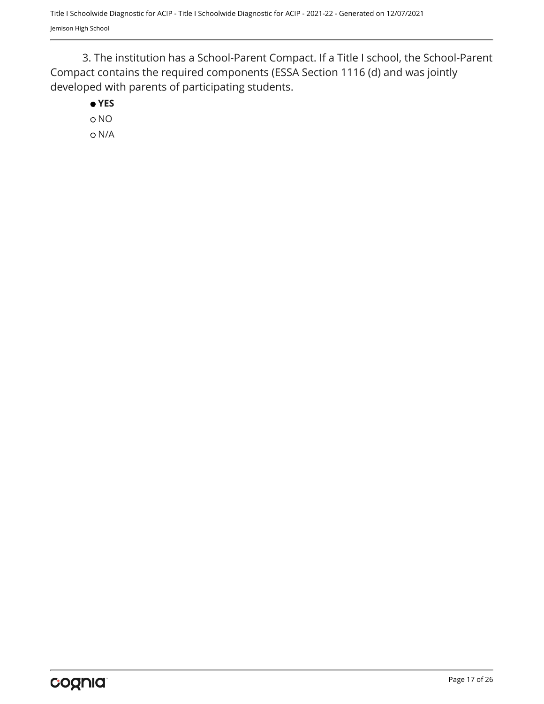3. The institution has a School-Parent Compact. If a Title I school, the School-Parent Compact contains the required components (ESSA Section 1116 (d) and was jointly developed with parents of participating students.

 **YES**

o NO N/A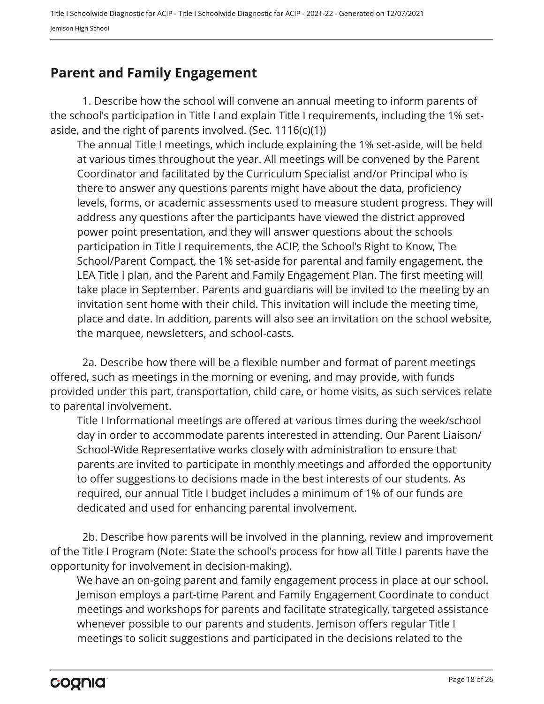### <span id="page-17-0"></span>**Parent and Family Engagement**

1. Describe how the school will convene an annual meeting to inform parents of the school's participation in Title I and explain Title I requirements, including the 1% setaside, and the right of parents involved. (Sec.  $1116(c)(1)$ )

The annual Title I meetings, which include explaining the 1% set-aside, will be held at various times throughout the year. All meetings will be convened by the Parent Coordinator and facilitated by the Curriculum Specialist and/or Principal who is there to answer any questions parents might have about the data, proficiency levels, forms, or academic assessments used to measure student progress. They will address any questions after the participants have viewed the district approved power point presentation, and they will answer questions about the schools participation in Title I requirements, the ACIP, the School's Right to Know, The School/Parent Compact, the 1% set-aside for parental and family engagement, the LEA Title I plan, and the Parent and Family Engagement Plan. The first meeting will take place in September. Parents and guardians will be invited to the meeting by an invitation sent home with their child. This invitation will include the meeting time, place and date. In addition, parents will also see an invitation on the school website, the marquee, newsletters, and school-casts.

2a. Describe how there will be a flexible number and format of parent meetings offered, such as meetings in the morning or evening, and may provide, with funds provided under this part, transportation, child care, or home visits, as such services relate to parental involvement.

Title I Informational meetings are offered at various times during the week/school day in order to accommodate parents interested in attending. Our Parent Liaison/ School-Wide Representative works closely with administration to ensure that parents are invited to participate in monthly meetings and afforded the opportunity to offer suggestions to decisions made in the best interests of our students. As required, our annual Title I budget includes a minimum of 1% of our funds are dedicated and used for enhancing parental involvement.

2b. Describe how parents will be involved in the planning, review and improvement of the Title I Program (Note: State the school's process for how all Title I parents have the opportunity for involvement in decision-making).

We have an on-going parent and family engagement process in place at our school. Jemison employs a part-time Parent and Family Engagement Coordinate to conduct meetings and workshops for parents and facilitate strategically, targeted assistance whenever possible to our parents and students. Jemison offers regular Title I meetings to solicit suggestions and participated in the decisions related to the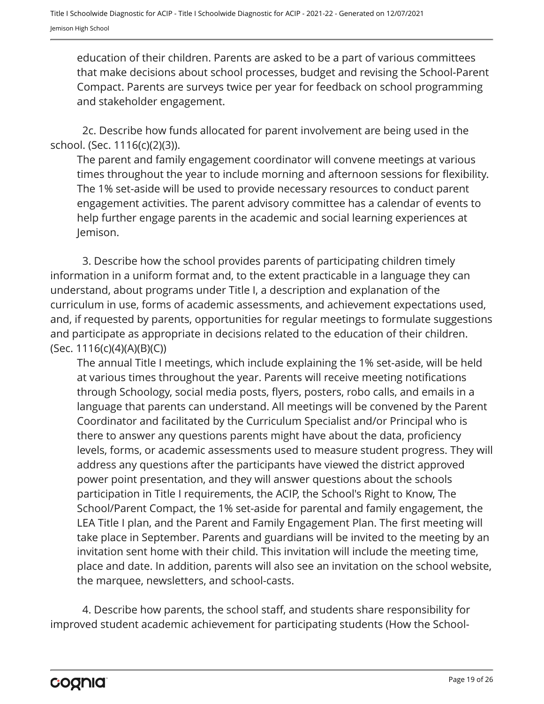education of their children. Parents are asked to be a part of various committees that make decisions about school processes, budget and revising the School-Parent Compact. Parents are surveys twice per year for feedback on school programming and stakeholder engagement.

2c. Describe how funds allocated for parent involvement are being used in the school. (Sec. 1116(c)(2)(3)).

The parent and family engagement coordinator will convene meetings at various times throughout the year to include morning and afternoon sessions for flexibility. The 1% set-aside will be used to provide necessary resources to conduct parent engagement activities. The parent advisory committee has a calendar of events to help further engage parents in the academic and social learning experiences at Jemison.

3. Describe how the school provides parents of participating children timely information in a uniform format and, to the extent practicable in a language they can understand, about programs under Title I, a description and explanation of the curriculum in use, forms of academic assessments, and achievement expectations used, and, if requested by parents, opportunities for regular meetings to formulate suggestions and participate as appropriate in decisions related to the education of their children. (Sec. 1116(c)(4)(A)(B)(C))

The annual Title I meetings, which include explaining the 1% set-aside, will be held at various times throughout the year. Parents will receive meeting notifications through Schoology, social media posts, flyers, posters, robo calls, and emails in a language that parents can understand. All meetings will be convened by the Parent Coordinator and facilitated by the Curriculum Specialist and/or Principal who is there to answer any questions parents might have about the data, proficiency levels, forms, or academic assessments used to measure student progress. They will address any questions after the participants have viewed the district approved power point presentation, and they will answer questions about the schools participation in Title I requirements, the ACIP, the School's Right to Know, The School/Parent Compact, the 1% set-aside for parental and family engagement, the LEA Title I plan, and the Parent and Family Engagement Plan. The first meeting will take place in September. Parents and guardians will be invited to the meeting by an invitation sent home with their child. This invitation will include the meeting time, place and date. In addition, parents will also see an invitation on the school website, the marquee, newsletters, and school-casts.

4. Describe how parents, the school staff, and students share responsibility for improved student academic achievement for participating students (How the School-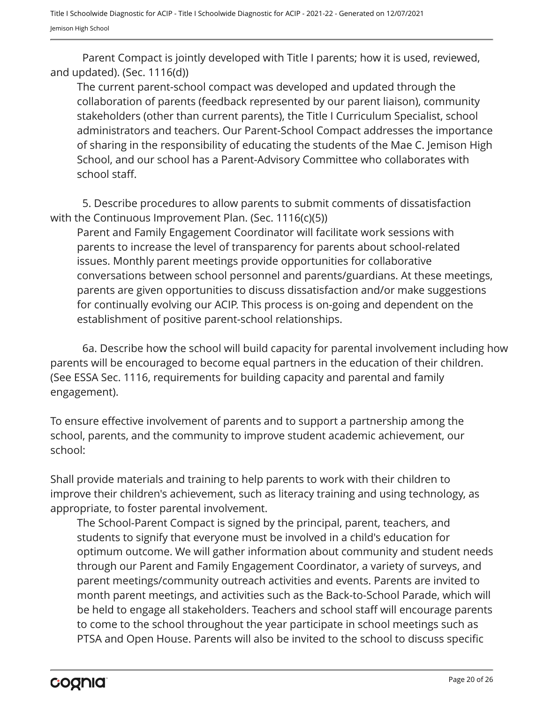Parent Compact is jointly developed with Title I parents; how it is used, reviewed, and updated). (Sec. 1116(d))

The current parent-school compact was developed and updated through the collaboration of parents (feedback represented by our parent liaison), community stakeholders (other than current parents), the Title I Curriculum Specialist, school administrators and teachers. Our Parent-School Compact addresses the importance of sharing in the responsibility of educating the students of the Mae C. Jemison High School, and our school has a Parent-Advisory Committee who collaborates with school staff.

5. Describe procedures to allow parents to submit comments of dissatisfaction with the Continuous Improvement Plan. (Sec. 1116(c)(5))

Parent and Family Engagement Coordinator will facilitate work sessions with parents to increase the level of transparency for parents about school-related issues. Monthly parent meetings provide opportunities for collaborative conversations between school personnel and parents/guardians. At these meetings, parents are given opportunities to discuss dissatisfaction and/or make suggestions for continually evolving our ACIP. This process is on-going and dependent on the establishment of positive parent-school relationships.

6a. Describe how the school will build capacity for parental involvement including how parents will be encouraged to become equal partners in the education of their children. (See ESSA Sec. 1116, requirements for building capacity and parental and family engagement).

To ensure effective involvement of parents and to support a partnership among the school, parents, and the community to improve student academic achievement, our school:

Shall provide materials and training to help parents to work with their children to improve their children's achievement, such as literacy training and using technology, as appropriate, to foster parental involvement.

The School-Parent Compact is signed by the principal, parent, teachers, and students to signify that everyone must be involved in a child's education for optimum outcome. We will gather information about community and student needs through our Parent and Family Engagement Coordinator, a variety of surveys, and parent meetings/community outreach activities and events. Parents are invited to month parent meetings, and activities such as the Back-to-School Parade, which will be held to engage all stakeholders. Teachers and school staff will encourage parents to come to the school throughout the year participate in school meetings such as PTSA and Open House. Parents will also be invited to the school to discuss specific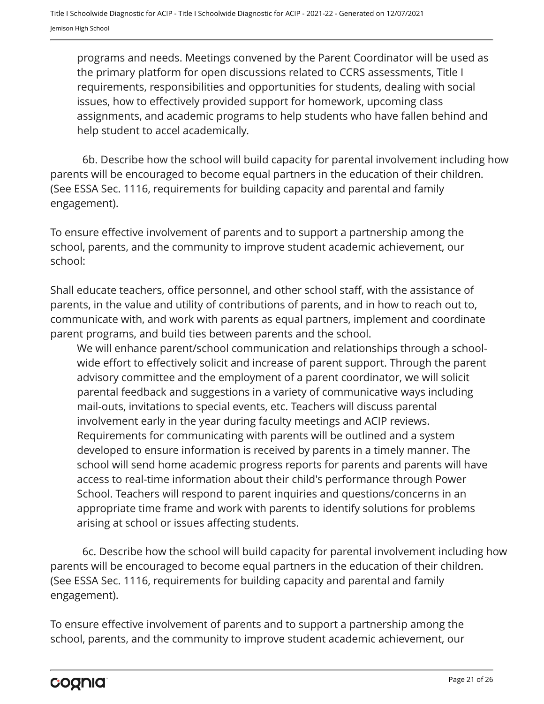programs and needs. Meetings convened by the Parent Coordinator will be used as the primary platform for open discussions related to CCRS assessments, Title I requirements, responsibilities and opportunities for students, dealing with social issues, how to effectively provided support for homework, upcoming class assignments, and academic programs to help students who have fallen behind and help student to accel academically.

6b. Describe how the school will build capacity for parental involvement including how parents will be encouraged to become equal partners in the education of their children. (See ESSA Sec. 1116, requirements for building capacity and parental and family engagement).

To ensure effective involvement of parents and to support a partnership among the school, parents, and the community to improve student academic achievement, our school:

Shall educate teachers, office personnel, and other school staff, with the assistance of parents, in the value and utility of contributions of parents, and in how to reach out to, communicate with, and work with parents as equal partners, implement and coordinate parent programs, and build ties between parents and the school.

We will enhance parent/school communication and relationships through a schoolwide effort to effectively solicit and increase of parent support. Through the parent advisory committee and the employment of a parent coordinator, we will solicit parental feedback and suggestions in a variety of communicative ways including mail-outs, invitations to special events, etc. Teachers will discuss parental involvement early in the year during faculty meetings and ACIP reviews. Requirements for communicating with parents will be outlined and a system developed to ensure information is received by parents in a timely manner. The school will send home academic progress reports for parents and parents will have access to real-time information about their child's performance through Power School. Teachers will respond to parent inquiries and questions/concerns in an appropriate time frame and work with parents to identify solutions for problems arising at school or issues affecting students.

6c. Describe how the school will build capacity for parental involvement including how parents will be encouraged to become equal partners in the education of their children. (See ESSA Sec. 1116, requirements for building capacity and parental and family engagement).

To ensure effective involvement of parents and to support a partnership among the school, parents, and the community to improve student academic achievement, our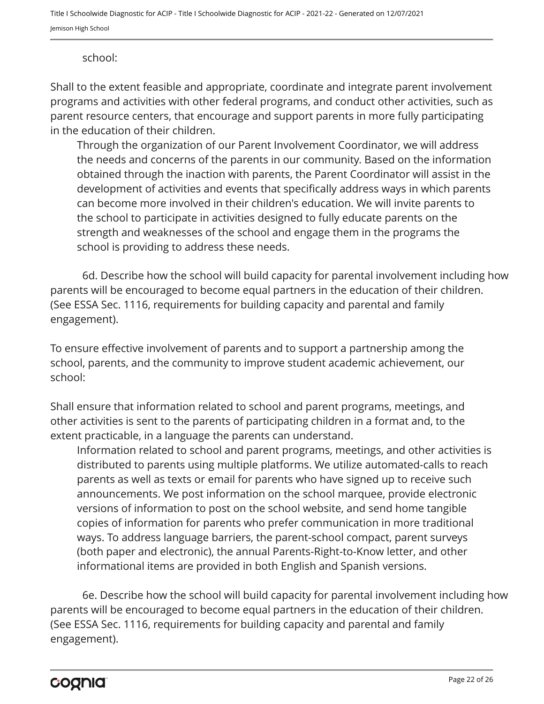#### school:

Shall to the extent feasible and appropriate, coordinate and integrate parent involvement programs and activities with other federal programs, and conduct other activities, such as parent resource centers, that encourage and support parents in more fully participating in the education of their children.

Through the organization of our Parent Involvement Coordinator, we will address the needs and concerns of the parents in our community. Based on the information obtained through the inaction with parents, the Parent Coordinator will assist in the development of activities and events that specifically address ways in which parents can become more involved in their children's education. We will invite parents to the school to participate in activities designed to fully educate parents on the strength and weaknesses of the school and engage them in the programs the school is providing to address these needs.

6d. Describe how the school will build capacity for parental involvement including how parents will be encouraged to become equal partners in the education of their children. (See ESSA Sec. 1116, requirements for building capacity and parental and family engagement).

To ensure effective involvement of parents and to support a partnership among the school, parents, and the community to improve student academic achievement, our school:

Shall ensure that information related to school and parent programs, meetings, and other activities is sent to the parents of participating children in a format and, to the extent practicable, in a language the parents can understand.

Information related to school and parent programs, meetings, and other activities is distributed to parents using multiple platforms. We utilize automated-calls to reach parents as well as texts or email for parents who have signed up to receive such announcements. We post information on the school marquee, provide electronic versions of information to post on the school website, and send home tangible copies of information for parents who prefer communication in more traditional ways. To address language barriers, the parent-school compact, parent surveys (both paper and electronic), the annual Parents-Right-to-Know letter, and other informational items are provided in both English and Spanish versions.

6e. Describe how the school will build capacity for parental involvement including how parents will be encouraged to become equal partners in the education of their children. (See ESSA Sec. 1116, requirements for building capacity and parental and family engagement).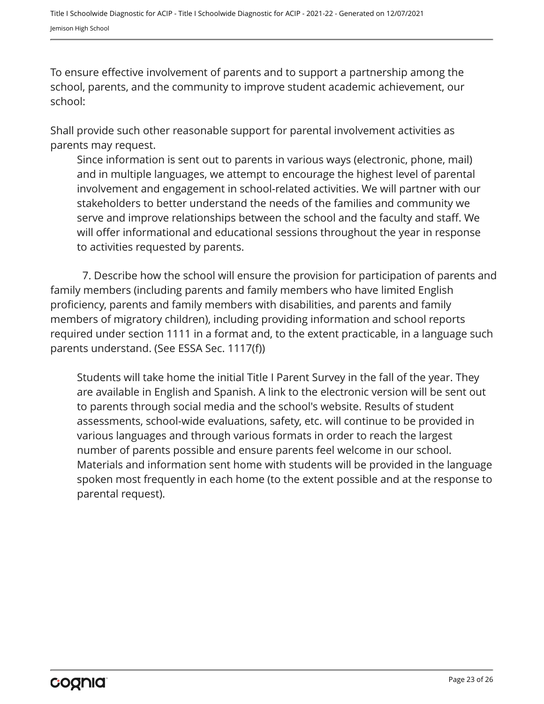To ensure effective involvement of parents and to support a partnership among the school, parents, and the community to improve student academic achievement, our school:

Shall provide such other reasonable support for parental involvement activities as parents may request.

Since information is sent out to parents in various ways (electronic, phone, mail) and in multiple languages, we attempt to encourage the highest level of parental involvement and engagement in school-related activities. We will partner with our stakeholders to better understand the needs of the families and community we serve and improve relationships between the school and the faculty and staff. We will offer informational and educational sessions throughout the year in response to activities requested by parents.

7. Describe how the school will ensure the provision for participation of parents and family members (including parents and family members who have limited English proficiency, parents and family members with disabilities, and parents and family members of migratory children), including providing information and school reports required under section 1111 in a format and, to the extent practicable, in a language such parents understand. (See ESSA Sec. 1117(f))

Students will take home the initial Title I Parent Survey in the fall of the year. They are available in English and Spanish. A link to the electronic version will be sent out to parents through social media and the school's website. Results of student assessments, school-wide evaluations, safety, etc. will continue to be provided in various languages and through various formats in order to reach the largest number of parents possible and ensure parents feel welcome in our school. Materials and information sent home with students will be provided in the language spoken most frequently in each home (to the extent possible and at the response to parental request).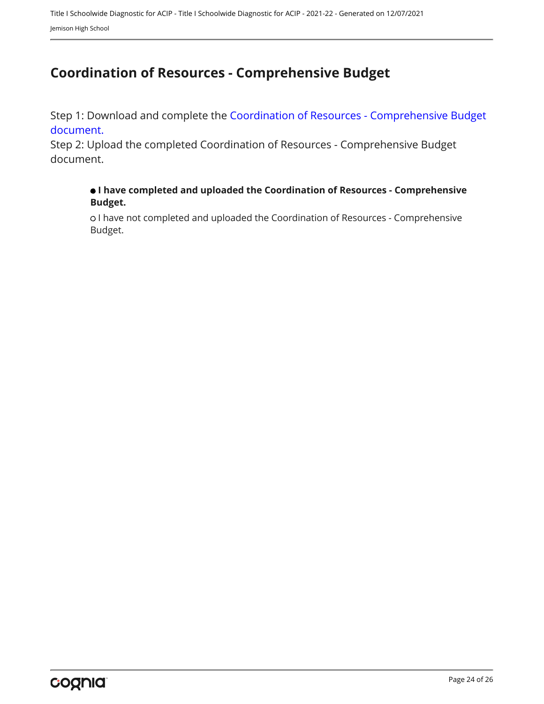# <span id="page-23-0"></span>**Coordination of Resources - Comprehensive Budget**

Step 1: Download and complete the [Coordination of Resources - Comprehensive Budget](https://www.alsde.edu/sec/fp/Pages/resources-all.aspx?navtext=Resources) [document.](https://www.alsde.edu/sec/fp/Pages/resources-all.aspx?navtext=Resources)

Step 2: Upload the completed Coordination of Resources - Comprehensive Budget document.

#### **I have completed and uploaded the Coordination of Resources - Comprehensive Budget.**

o I have not completed and uploaded the Coordination of Resources - Comprehensive Budget.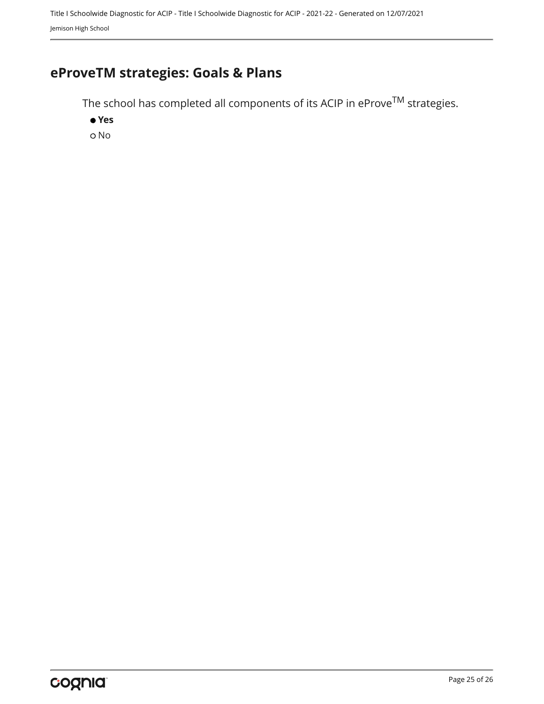Title I Schoolwide Diagnostic for ACIP - Title I Schoolwide Diagnostic for ACIP - 2021-22 - Generated on 12/07/2021 Jemison High School

# <span id="page-24-0"></span>**eProveTM strategies: Goals & Plans**

The school has completed all components of its ACIP in  $e$ Prov $e^{TM}$  strategies.

 **Yes** o No